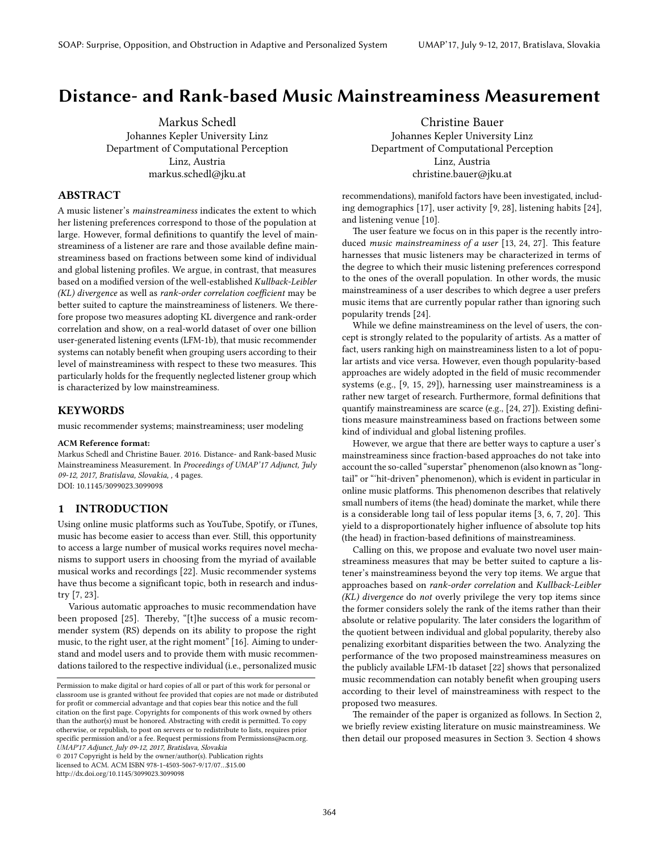# Distance- and Rank-based Music Mainstreaminess Measurement

Markus Schedl Johannes Kepler University Linz Department of Computational Perception Linz, Austria markus.schedl@jku.at

# ABSTRACT

A music listener's mainstreaminess indicates the extent to which her listening preferences correspond to those of the population at large. However, formal definitions to quantify the level of mainstreaminess of a listener are rare and those available define mainstreaminess based on fractions between some kind of individual and global listening profiles. We argue, in contrast, that measures based on a modified version of the well-established Kullback-Leibler  $(KL)$  divergence as well as rank-order correlation coefficient may be better suited to capture the mainstreaminess of listeners. We therefore propose two measures adopting KL divergence and rank-order correlation and show, on a real-world dataset of over one billion user-generated listening events (LFM-1b), that music recommender systems can notably benefit when grouping users according to their level of mainstreaminess with respect to these two measures. This particularly holds for the frequently neglected listener group which is characterized by low mainstreaminess.

### KEYWORDS

music recommender systems; mainstreaminess; user modeling

#### ACM Reference format:

Markus Schedl and Christine Bauer. 2016. Distance- and Rank-based Music Mainstreaminess Measurement. In Proceedings of UMAP'17 Adjunct, July 09-12, 2017, Bratislava, Slovakia, , [4](#page-3-0) pages. DOI: 10.1145/3099023.3099098

## 1 INTRODUCTION

Using online music platforms such as YouTube, Spotify, or iTunes, music has become easier to access than ever. Still, this opportunity to access a large number of musical works requires novel mechanisms to support users in choosing from the myriad of available musical works and recordings [\[22\]](#page-3-1). Music recommender systems have thus become a significant topic, both in research and industry [\[7,](#page-3-2) [23\]](#page-3-3).

Various automatic approaches to music recommendation have been proposed  $[25]$ . Thereby, "[t]he success of a music recommender system (RS) depends on its ability to propose the right music, to the right user, at the right moment" [\[16\]](#page-3-5). Aiming to understand and model users and to provide them with music recommendations tailored to the respective individual (i.e., personalized music

© 2017 Copyright is held by the owner/author(s). Publication rights licensed to ACM. ACM ISBN 978-1-4503-5067-9/17/07…\$15.00 http://dx.doi.org/10.1145/3099023.3099098

Christine Bauer Johannes Kepler University Linz Department of Computational Perception Linz, Austria christine.bauer@jku.at

recommendations), manifold factors have been investigated, including demographics [\[17\]](#page-3-6), user activity [\[9,](#page-3-7) [28\]](#page-3-8), listening habits [\[24\]](#page-3-9), and listening venue [\[10\]](#page-3-10).

The user feature we focus on in this paper is the recently introduced music mainstreaminess of a user  $[13, 24, 27]$  $[13, 24, 27]$  $[13, 24, 27]$  $[13, 24, 27]$  $[13, 24, 27]$ . This feature harnesses that music listeners may be characterized in terms of the degree to which their music listening preferences correspond to the ones of the overall population. In other words, the music mainstreaminess of a user describes to which degree a user prefers music items that are currently popular rather than ignoring such popularity trends [\[24\]](#page-3-9).

While we define mainstreaminess on the level of users, the concept is strongly related to the popularity of artists. As a matter of fact, users ranking high on mainstreaminess listen to a lot of popular artists and vice versa. However, even though popularity-based approaches are widely adopted in the field of music recommender systems (e.g., [\[9,](#page-3-7) [15,](#page-3-13) [29\]](#page-3-14)), harnessing user mainstreaminess is a rather new target of research. Furthermore, formal definitions that quantify mainstreaminess are scarce (e.g., [\[24,](#page-3-9) [27\]](#page-3-12)). Existing definitions measure mainstreaminess based on fractions between some kind of individual and global listening profiles.

However, we argue that there are better ways to capture a user's mainstreaminess since fraction-based approaches do not take into account the so-called "superstar" phenomenon (also known as "longtail" or "'hit-driven" phenomenon), which is evident in particular in online music platforms. This phenomenon describes that relatively small numbers of items (the head) dominate the market, while there is a considerable long tail of less popular items  $[3, 6, 7, 20]$  $[3, 6, 7, 20]$  $[3, 6, 7, 20]$  $[3, 6, 7, 20]$  $[3, 6, 7, 20]$  $[3, 6, 7, 20]$  $[3, 6, 7, 20]$ . This yield to a disproportionately higher influence of absolute top hits (the head) in fraction-based definitions of mainstreaminess.

Calling on this, we propose and evaluate two novel user mainstreaminess measures that may be better suited to capture a listener's mainstreaminess beyond the very top items. We argue that approaches based on rank-order correlation and Kullback-Leibler (KL) divergence do not overly privilege the very top items since the former considers solely the rank of the items rather than their absolute or relative popularity. The later considers the logarithm of the quotient between individual and global popularity, thereby also penalizing exorbitant disparities between the two. Analyzing the performance of the two proposed mainstreaminess measures on the publicly available LFM-1b dataset [\[22\]](#page-3-1) shows that personalized music recommendation can notably benefit when grouping users according to their level of mainstreaminess with respect to the proposed two measures.

The remainder of the paper is organized as follows. In Section [2,](#page-1-0) we briefly review existing literature on music mainstreaminess. We then detail our proposed measures in Section [3.](#page-1-1) Section [4](#page-1-2) shows

Permission to make digital or hard copies of all or part of this work for personal or classroom use is granted without fee provided that copies are not made or distributed for profit or commercial advantage and that copies bear this notice and the full citation on the first page. Copyrights for components of this work owned by others than the author(s) must be honored. Abstracting with credit is permitted. To copy otherwise, or republish, to post on servers or to redistribute to lists, requires prior specific permission and/or a fee. Request permissions from Permissions@acm.org. UMAP'17 Adjunct, July 09-12, 2017, Bratislava, Slovakia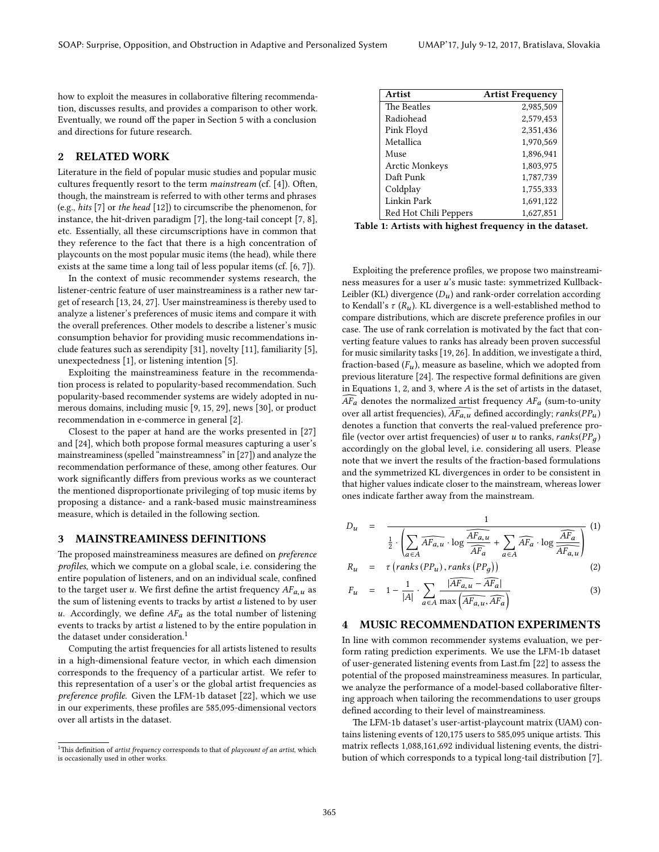how to exploit the measures in collaborative filtering recommendation, discusses results, and provides a comparison to other work. Eventually, we round off the paper in Section [5](#page-3-18) with a conclusion and directions for future research.

## <span id="page-1-0"></span>2 RELATED WORK

Literature in the field of popular music studies and popular music cultures frequently resort to the term mainstream (cf. [\[4\]](#page-3-19)). Often, though, the mainstream is referred to with other terms and phrases (e.g., hits [\[7\]](#page-3-2) or the head [\[12\]](#page-3-20)) to circumscribe the phenomenon, for instance, the hit-driven paradigm [\[7\]](#page-3-2), the long-tail concept [\[7,](#page-3-2) [8\]](#page-3-21), etc. Essentially, all these circumscriptions have in common that they reference to the fact that there is a high concentration of playcounts on the most popular music items (the head), while there exists at the same time a long tail of less popular items (cf. [\[6,](#page-3-16) [7\]](#page-3-2)).

In the context of music recommender systems research, the listener-centric feature of user mainstreaminess is a rather new target of research [\[13,](#page-3-11) [24,](#page-3-9) [27\]](#page-3-12). User mainstreaminess is thereby used to analyze a listener's preferences of music items and compare it with the overall preferences. Other models to describe a listener's music consumption behavior for providing music recommendations include features such as serendipity [\[31\]](#page-3-22), novelty [\[11\]](#page-3-23), familiarity [\[5\]](#page-3-24), unexpectedness [\[1\]](#page-3-25), or listening intention [\[5\]](#page-3-24).

Exploiting the mainstreaminess feature in the recommendation process is related to popularity-based recommendation. Such popularity-based recommender systems are widely adopted in numerous domains, including music [\[9,](#page-3-7) [15,](#page-3-13) [29\]](#page-3-14), news [\[30\]](#page-3-26), or product recommendation in e-commerce in general [\[2\]](#page-3-27).

Closest to the paper at hand are the works presented in [\[27\]](#page-3-12) and [\[24\]](#page-3-9), which both propose formal measures capturing a user's mainstreaminess (spelled "mainstreamness" in [\[27\]](#page-3-12)) and analyze the recommendation performance of these, among other features. Our work significantly differs from previous works as we counteract the mentioned disproportionate privileging of top music items by proposing a distance- and a rank-based music mainstreaminess measure, which is detailed in the following section.

#### <span id="page-1-1"></span>3 MAINSTREAMINESS DEFINITIONS

The proposed mainstreaminess measures are defined on *preference* profiles, which we compute on a global scale, i.e. considering the entire population of listeners, and on an individual scale, confined to the target user u. We first define the artist frequency  $AF_{a,u}$  as the sum of listening events to tracks by artist a listened to by user u. Accordingly, we define  $AF_a$  as the total number of listening events to tracks by artist a listened to by the entire population in the dataset under consideration.<sup>[1](#page-1-3)</sup>

Computing the artist frequencies for all artists listened to results in a high-dimensional feature vector, in which each dimension corresponds to the frequency of a particular artist. We refer to this representation of a user's or the global artist frequencies as preference profile. Given the LFM-1b dataset [\[22\]](#page-3-1), which we use in our experiments, these profiles are 585,095-dimensional vectors over all artists in the dataset.

<span id="page-1-5"></span>

| Artist                | <b>Artist Frequency</b> |
|-----------------------|-------------------------|
| The Beatles           | 2,985,509               |
| Radiohead             | 2,579,453               |
| Pink Floyd            | 2,351,436               |
| Metallica             | 1,970,569               |
| Muse                  | 1,896,941               |
| <b>Arctic Monkeys</b> | 1,803,975               |
| Daft Punk             | 1,787,739               |
| Coldplay              | 1,755,333               |
| Linkin Park           | 1,691,122               |
| Red Hot Chili Peppers | 1,627,851               |

Table 1: Artists with highest frequency in the dataset.

Exploiting the preference profiles, we propose two mainstreaminess measures for a user u's music taste: symmetrized Kullback-Leibler (KL) divergence  $(D_u)$  and rank-order correlation according to Kendall's  $\tau$  ( $R_u$ ). KL divergence is a well-established method to compare distributions, which are discrete preference profiles in our case. The use of rank correlation is motivated by the fact that converting feature values to ranks has already been proven successful for music similarity tasks [\[19,](#page-3-28) [26\]](#page-3-29). In addition, we investigate a third, fraction-based  $(F_u)$ , measure as baseline, which we adopted from previous literature [\[24\]](#page-3-9). The respective formal definitions are given in Equations [1, 2,](#page-1-4) and [3,](#page-1-4) where A is the set of artists in the dataset,  $\widehat{AF}_a$  denotes the normalized artist frequency  $AF_a$  (sum-to-unity over all artist frequencies),  $\widehat{AF_{a,u}}$  defined accordingly; ranks(PP<sub>u</sub>) denotes a function that converts the real-valued preference pro file (vector over artist frequencies) of user u to ranks, ranks( $PP_a$ ) accordingly on the global level, i.e. considering all users. Please note that we invert the results of the fraction-based formulations and the symmetrized KL divergences in order to be consistent in that higher values indicate closer to the mainstream, whereas lower ones indicate farther away from the mainstream.

<span id="page-1-4"></span>
$$
D_u = \frac{1}{\frac{1}{2} \cdot \left( \sum_{a \in A} \overline{AF_{a,u}} \cdot \log \frac{\overline{AF_{a,u}}}{\overline{AF_a}} + \sum_{a \in A} \overline{AF_a} \cdot \log \frac{\overline{AF_a}}{\overline{AF_{a,u}}} \right)} \tag{1}
$$

$$
R_u = \tau \left( \text{ranks} \left( PP_u \right), \text{ranks} \left( PP_g \right) \right) \tag{2}
$$

$$
F_u = 1 - \frac{1}{|A|} \cdot \sum_{a \in A} \frac{|\overline{AF_{a,u} - AF_a}|}{\max\left(\overline{AF_{a,u}, AF_a}\right)} \tag{3}
$$

## <span id="page-1-2"></span>4 MUSIC RECOMMENDATION EXPERIMENTS

In line with common recommender systems evaluation, we perform rating prediction experiments. We use the LFM-1b dataset of user-generated listening events from Last.fm [\[22\]](#page-3-1) to assess the potential of the proposed mainstreaminess measures. In particular, we analyze the performance of a model-based collaborative filtering approach when tailoring the recommendations to user groups defined according to their level of mainstreaminess.

The LFM-1b dataset's user-artist-playcount matrix (UAM) contains listening events of 120,175 users to 585,095 unique artists. This matrix reflects 1,088,161,692 individual listening events, the distribution of which corresponds to a typical long-tail distribution [\[7\]](#page-3-2).

<span id="page-1-3"></span><sup>&</sup>lt;sup>1</sup>This definition of artist frequency corresponds to that of playcount of an artist, which is occasionally used in other works.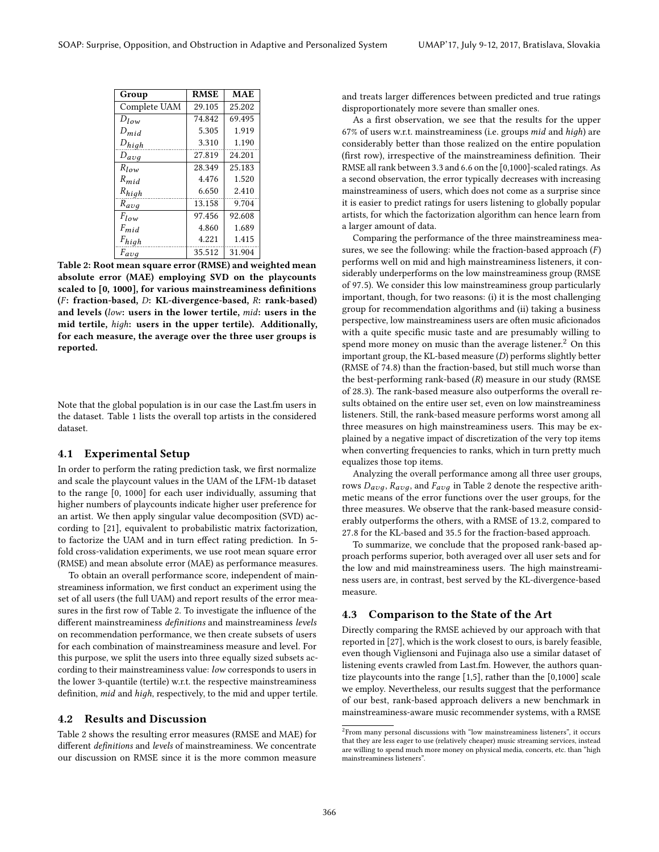<span id="page-2-0"></span>

| Group        | <b>RMSE</b> | <b>MAE</b> |
|--------------|-------------|------------|
| Complete UAM | 29.105      | 25.202     |
| $D_{low}$    | 74.842      | 69.495     |
| $D_{mid}$    | 5.305       | 1.919      |
| $D_{high}$   | 3.310       | 1.190      |
| $D_{avg}$    | 27.819      | 24.201     |
| $R_{low}$    | 28.349      | 25.183     |
| $R_{mid}$    | 4.476       | 1.520      |
| $R_{high}$   | 6.650       | 2.410      |
| $R_{avg}$    | 13.158      | 9.704      |
| $F_{low}$    | 97.456      | 92.608     |
| $F_{mid}$    | 4.860       | 1.689      |
| $F_{high}$   | 4.221       | 1.415      |
| $F_{avg}$    | 35.512      | 31.904     |

 $\begin{array}{|l|l|}\hline \text{Table 2: Root mean square error (RMSE) and weighted mean }\end{array}$ absolute error (MAE) employing SVD on the playcounts scaled to [0, 1000], for various mainstreaminess definitions (F: fraction-based, D: KL-divergence-based, R: rank-based) and levels (low: users in the lower tertile, mid: users in the mid tertile, hiдh: users in the upper tertile). Additionally, for each measure, the average over the three user groups is reported.

Note that the global population is in our case the Last.fm users in the dataset. Table [1](#page-1-5) lists the overall top artists in the considered dataset.

## 4.1 Experimental Setup

In order to perform the rating prediction task, we first normalize and scale the playcount values in the UAM of the LFM-1b dataset to the range [0, 1000] for each user individually, assuming that higher numbers of playcounts indicate higher user preference for an artist. We then apply singular value decomposition (SVD) according to [\[21\]](#page-3-30), equivalent to probabilistic matrix factorization, to factorize the UAM and in turn effect rating prediction. In 5fold cross-validation experiments, we use root mean square error (RMSE) and mean absolute error (MAE) as performance measures.

To obtain an overall performance score, independent of mainstreaminess information, we first conduct an experiment using the set of all users (the full UAM) and report results of the error mea-sures in the first row of Table [2.](#page-2-0) To investigate the influence of the different mainstreaminess definitions and mainstreaminess levels on recommendation performance, we then create subsets of users for each combination of mainstreaminess measure and level. For this purpose, we split the users into three equally sized subsets according to their mainstreaminess value: low corresponds to users in the lower 3-quantile (tertile) w.r.t. the respective mainstreaminess definition, mid and high, respectively, to the mid and upper tertile.

## 4.2 Results and Discussion

Table [2](#page-2-0) shows the resulting error measures (RMSE and MAE) for different definitions and levels of mainstreaminess. We concentrate our discussion on RMSE since it is the more common measure and treats larger differences between predicted and true ratings disproportionately more severe than smaller ones.

As a first observation, we see that the results for the upper 67% of users w.r.t. mainstreaminess (i.e. groups mid and hiдh) are considerably better than those realized on the entire population (first row), irrespective of the mainstreaminess definition. Their RMSE all rank between 3.3 and 6.6 on the [0,1000]-scaled ratings. As a second observation, the error typically decreases with increasing mainstreaminess of users, which does not come as a surprise since it is easier to predict ratings for users listening to globally popular artists, for which the factorization algorithm can hence learn from a larger amount of data.

Comparing the performance of the three mainstreaminess measures, we see the following: while the fraction-based approach  $(F)$ performs well on mid and high mainstreaminess listeners, it considerably underperforms on the low mainstreaminess group (RMSE of 97.5). We consider this low mainstreaminess group particularly important, though, for two reasons: (i) it is the most challenging group for recommendation algorithms and (ii) taking a business perspective, low mainstreaminess users are often music aficionados with a quite specific music taste and are presumably willing to spend more money on music than the average listener.<sup>[2](#page-2-1)</sup> On this important group, the KL-based measure  $(D)$  performs slightly better (RMSE of 74.8) than the fraction-based, but still much worse than the best-performing rank-based (R) measure in our study (RMSE of 28.3). The rank-based measure also outperforms the overall results obtained on the entire user set, even on low mainstreaminess listeners. Still, the rank-based measure performs worst among all three measures on high mainstreaminess users. This may be explained by a negative impact of discretization of the very top items when converting frequencies to ranks, which in turn pretty much equalizes those top items.

Analyzing the overall performance among all three user groups, rows  $D_{avg}$ ,  $R_{avg}$ , and  $F_{avg}$  in Table [2](#page-2-0) denote the respective arithmetic means of the error functions over the user groups, for the three measures. We observe that the rank-based measure considerably outperforms the others, with a RMSE of 13.2, compared to <sup>27</sup>.8 for the KL-based and 35.5 for the fraction-based approach.

To summarize, we conclude that the proposed rank-based approach performs superior, both averaged over all user sets and for the low and mid mainstreaminess users. The high mainstreaminess users are, in contrast, best served by the KL-divergence-based measure.

### 4.3 Comparison to the State of the Art

Directly comparing the RMSE achieved by our approach with that reported in [\[27\]](#page-3-12), which is the work closest to ours, is barely feasible, even though Vigliensoni and Fujinaga also use a similar dataset of listening events crawled from Last.fm. However, the authors quantize playcounts into the range [1,5], rather than the [0,1000] scale we employ. Nevertheless, our results suggest that the performance of our best, rank-based approach delivers a new benchmark in mainstreaminess-aware music recommender systems, with a RMSE

<span id="page-2-1"></span><sup>&</sup>lt;sup>2</sup>From many personal discussions with "low mainstreaminess listeners", it occurs that they are less eager to use (relatively cheaper) music streaming services, instead are willing to spend much more money on physical media, concerts, etc. than "high mainstreaminess listeners".